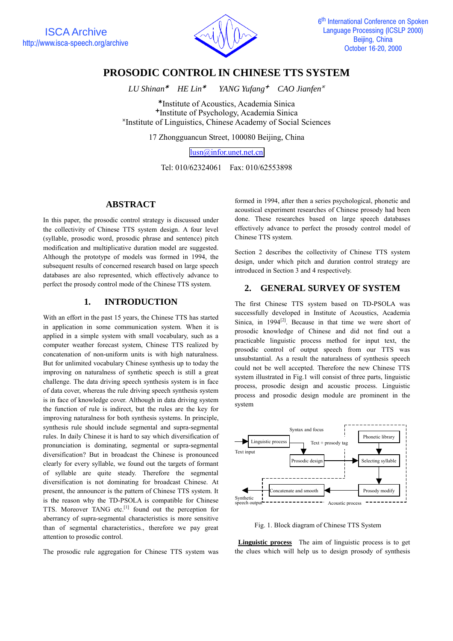

# **PROSODIC CONTROL IN CHINESE TTS SYSTEM**

 $LU Shinan^*$  HE  $Lin^*$  *CAO Jianfen* 

Institute of Acoustics, Academia Sinica <sup>+</sup>Institute of Psychology, Academia Sinica <sup>\*</sup>Institute of Linguistics, Chinese Academy of Social Sciences

17 Zhongguancun Street, 100080 Beijing, China

lusn@infor.unet.net.cn

Tel: 010/62324061 Fax: 010/62553898

#### **ABSTRACT**

In this paper, the prosodic control strategy is discussed under the collectivity of Chinese TTS system design. A four level (syllable, prosodic word, prosodic phrase and sentence) pitch modification and multiplicative duration model are suggested. Although the prototype of models was formed in 1994, the subsequent results of concerned research based on large speech databases are also represented, which effectively advance to perfect the prosody control mode of the Chinese TTS system.

## **1. INTRODUCTION**

With an effort in the past 15 years, the Chinese TTS has started in application in some communication system. When it is applied in a simple system with small vocabulary, such as a computer weather forecast system, Chinese TTS realized by concatenation of non-uniform units is with high naturalness. But for unlimited vocabulary Chinese synthesis up to today the improving on naturalness of synthetic speech is still a great challenge. The data driving speech synthesis system is in face of data cover, whereas the rule driving speech synthesis system is in face of knowledge cover. Although in data driving system the function of rule is indirect, but the rules are the key for improving naturalness for both synthesis systems. In principle, synthesis rule should include segmental and supra-segmental rules. In daily Chinese it is hard to say which diversification of pronunciation is dominating, segmental or supra-segmental diversification? But in broadcast the Chinese is pronounced clearly for every syllable, we found out the targets of formant of syllable are quite steady. Therefore the segmental diversification is not dominating for broadcast Chinese. At present, the announcer is the pattern of Chinese TTS system. It is the reason why the TD-PSOLA is compatible for Chinese TTS. Moreover TANG etc.[1] found out the perception for aberrancy of supra-segmental characteristics is more sensitive than of segmental characteristics., therefore we pay great attention to prosodic control.

The prosodic rule aggregation for Chinese TTS system was

formed in 1994, after then a series psychological, phonetic and acoustical experiment researches of Chinese prosody had been done. These researches based on large speech databases effectively advance to perfect the prosody control model of Chinese TTS system.

Section 2 describes the collectivity of Chinese TTS system design, under which pitch and duration control strategy are introduced in Section 3 and 4 respectively.

## **2. GENERAL SURVEY OF SYSTEM**

The first Chinese TTS system based on TD-PSOLA was successfully developed in Institute of Acoustics, Academia Sinica, in  $1994^{[2]}$ . Because in that time we were short of prosodic knowledge of Chinese and did not find out a practicable linguistic process method for input text, the prosodic control of output speech from our TTS was unsubstantial. As a result the naturalness of synthesis speech could not be well accepted. Therefore the new Chinese TTS system illustrated in Fig.1 will consist of three parts, linguistic process, prosodic design and acoustic process. Linguistic process and prosodic design module are prominent in the system



Fig. 1. Block diagram of Chinese TTS System

**Linguistic process** The aim of linguistic process is to get the clues which will help us to design prosody of synthesis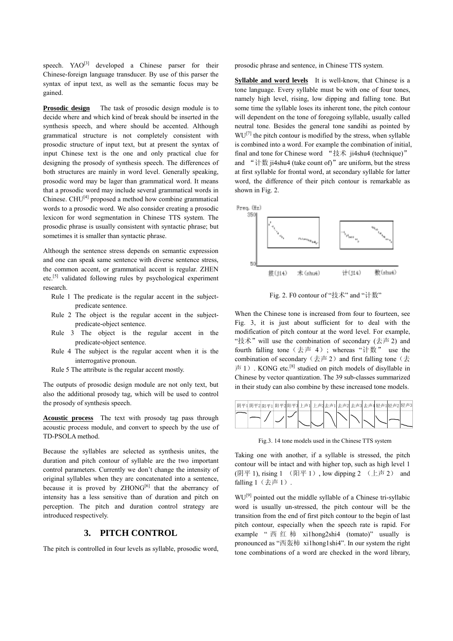speech.  $YAO^{[3]}$  developed a Chinese parser for their Chinese-foreign language transducer. By use of this parser the syntax of input text, as well as the semantic focus may be gained.

**Prosodic design** The task of prosodic design module is to decide where and which kind of break should be inserted in the synthesis speech, and where should be accented. Although grammatical structure is not completely consistent with prosodic structure of input text, but at present the syntax of input Chinese text is the one and only practical clue for designing the prosody of synthesis speech. The differences of both structures are mainly in word level. Generally speaking, prosodic word may be lager than grammatical word. It means that a prosodic word may include several grammatical words in Chinese. CHU[4] proposed a method how combine grammatical words to a prosodic word. We also consider creating a prosodic lexicon for word segmentation in Chinese TTS system. The prosodic phrase is usually consistent with syntactic phrase; but sometimes it is smaller than syntactic phrase.

Although the sentence stress depends on semantic expression and one can speak same sentence with diverse sentence stress, the common accent, or grammatical accent is regular. ZHEN etc.[5] validated following rules by psychological experiment research.

- Rule 1 The predicate is the regular accent in the subjectpredicate sentence.
- Rule 2 The object is the regular accent in the subjectpredicate-object sentence.
- Rule 3 The object is the regular accent in the predicate-object sentence.
- Rule 4 The subject is the regular accent when it is the interrogative pronoun.
- Rule 5 The attribute is the regular accent mostly.

The outputs of prosodic design module are not only text, but also the additional prosody tag, which will be used to control the prosody of synthesis speech.

**Acoustic process** The text with prosody tag pass through acoustic process module, and convert to speech by the use of TD-PSOLA method.

Because the syllables are selected as synthesis unites, the duration and pitch contour of syllable are the two important control parameters. Currently we don't change the intensity of original syllables when they are concatenated into a sentence, because it is proved by  $ZHONG^{[6]}$  that the aberrancy of intensity has a less sensitive than of duration and pitch on perception. The pitch and duration control strategy are introduced respectively.

#### **3. PITCH CONTROL**

The pitch is controlled in four levels as syllable, prosodic word,

prosodic phrase and sentence, in Chinese TTS system.

**Syllable and word levels** It is well-know, that Chinese is a tone language. Every syllable must be with one of four tones, namely high level, rising, low dipping and falling tone. But some time the syllable loses its inherent tone, the pitch contour will dependent on the tone of foregoing syllable, usually called neutral tone. Besides the general tone sandihi as pointed by  $WU^{[7]}$  the pitch contour is modified by the stress, when syllable is combined into a word. For example the combination of initial, final and tone for Chinese word "技术 ji4shu4 (technique)" and "计数 ji4shu4 (take count of)"are uniform, but the stress at first syllable for frontal word, at secondary syllable for latter word, the difference of their pitch contour is remarkable as shown in Fig. 2.



Fig. 2. F0 contour of "技术" and "计数"

When the Chinese tone is increased from four to fourteen, see Fig. 3, it is just about sufficient for to deal with the modification of pitch contour at the word level. For example, "技术" will use the combination of secondary  $(\pm \bar{\pm} 2)$  and fourth falling tone  $(\pm \bar{p} + 4)$ ; whereas "计数" use the combination of secondary (去声 2) and first falling tone (去  $\overline{p}$  = 1). KONG etc.<sup>[8]</sup> studied on pitch models of disyllable in Chinese by vector quantization. The 39 sub-classes summarized in their study can also combine by these increased tone models.

| 阴平1 阴平2 阳平1 阳平2 阳平3 上声1 上声2去声1 去声2 去声3 去声4 轻声1 轻声2 轻声3 |  |  |  |  |  |  |
|--------------------------------------------------------|--|--|--|--|--|--|
|                                                        |  |  |  |  |  |  |

Fig.3. 14 tone models used in the Chinese TTS system

Taking one with another, if a syllable is stressed, the pitch contour will be intact and with higher top, such as high level 1 (阴平 1), rising  $1$  (阳平 1), low dipping  $2$  (上声 2) and falling  $1$   $($  $\pm$  $\overline{p}$  $1)$ .

WU<sup>[9]</sup> pointed out the middle syllable of a Chinese tri-syllabic word is usually un-stressed, the pitch contour will be the transition from the end of first pitch contour to the begin of last pitch contour, especially when the speech rate is rapid. For example " 西 红 柿 xi1hong2shi4 (tomato)" usually is pronounced as "西轰柿 xi1hong1shi4". In our system the right tone combinations of a word are checked in the word library,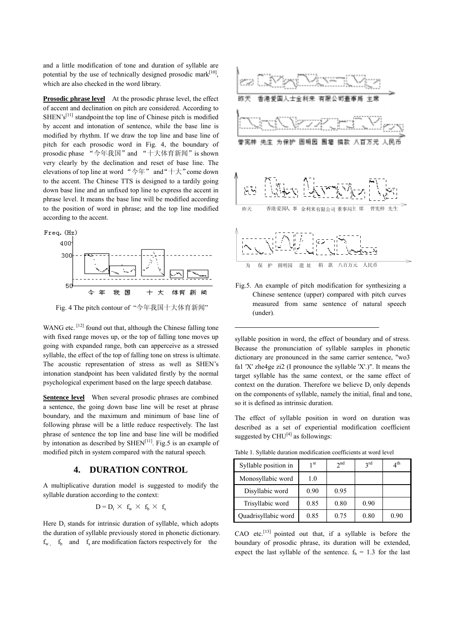and a little modification of tone and duration of syllable are potential by the use of technically designed prosodic mark $[10]$ , which are also checked in the word library.

**Prosodic phrase level** At the prosodic phrase level, the effect of accent and declination on pitch are considered. According to  $SHEN's<sup>[11]</sup>$  standpoint the top line of Chinese pitch is modified by accent and intonation of sentence, while the base line is modified by rhythm. If we draw the top line and base line of pitch for each prosodic word in Fig. 4, the boundary of prosodic phase "今年我国"and "十大体育新闻"is shown very clearly by the declination and reset of base line. The elevations of top line at word "今年" and"十大"come down to the accent. The Chinese TTS is designed to a tardily going down base line and an unfixed top line to express the accent in phrase level. It means the base line will be modified according to the position of word in phrase; and the top line modified according to the accent.



Fig. 4 The pitch contour of "今年我国十大体育新闻"

WANG etc. <sup>[12]</sup> found out that, although the Chinese falling tone with fixed range moves up, or the top of falling tone moves up going with expanded range, both can apperceive as a stressed syllable, the effect of the top of falling tone on stress is ultimate. The acoustic representation of stress as well as SHEN's intonation standpoint has been validated firstly by the normal psychological experiment based on the large speech database.

**Sentence level** When several prosodic phrases are combined a sentence, the going down base line will be reset at phrase boundary, and the maximum and minimum of base line of following phrase will be a little reduce respectively. The last phrase of sentence the top line and base line will be modified by intonation as described by  $\text{SHEN}^{[11]}$ . Fig.5 is an example of modified pitch in system compared with the natural speech.

### **4. DURATION CONTROL**

A multiplicative duration model is suggested to modify the syllable duration according to the context:

$$
D=D_i\,\times\,\,f_w\,\times\,\,f_b\,\times\,\,f_s
$$

Here  $D_i$  stands for intrinsic duration of syllable, which adopts the duration of syllable previously stored in phonetic dictionary.  $f_w$   $f_b$  and  $f_s$  are modification factors respectively for the



Fig.5. An example of pitch modification for synthesizing a Chinese sentence (upper) compared with pitch curves measured from same sentence of natural speech (under).

syllable position in word, the effect of boundary and of stress. Because the pronunciation of syllable samples in phonetic dictionary are pronounced in the same carrier sentence, "wo3 fa1 'X' zhe4ge zi2 (I pronounce the syllable 'X'.)". It means the target syllable has the same context, or the same effect of context on the duration. Therefore we believe  $D_i$  only depends on the components of syllable, namely the initial, final and tone, so it is defined as intrinsic duration.

The effect of syllable position in word on duration was described as a set of experiential modification coefficient suggested by  $CHU^{[4]}$  as followings:

Table 1. Syllable duration modification coefficients at word level

| Syllable position in | 1 st | 2 <sub>nd</sub> | 2rd  | $4^{\text{th}}$ |
|----------------------|------|-----------------|------|-----------------|
| Monosyllabic word    | 1.0  |                 |      |                 |
| Disyllabic word      | 0.90 | 0.95            |      |                 |
| Trisyllabic word     | 0.85 | 0.80            | 0.90 |                 |
| Quadrisyllabic word  | 0.85 | 0.75            | 0.80 | 0.90            |

CAO etc.<sup>[13]</sup> pointed out that, if a syllable is before the boundary of prosodic phrase, its duration will be extended, expect the last syllable of the sentence.  $f_b = 1.3$  for the last